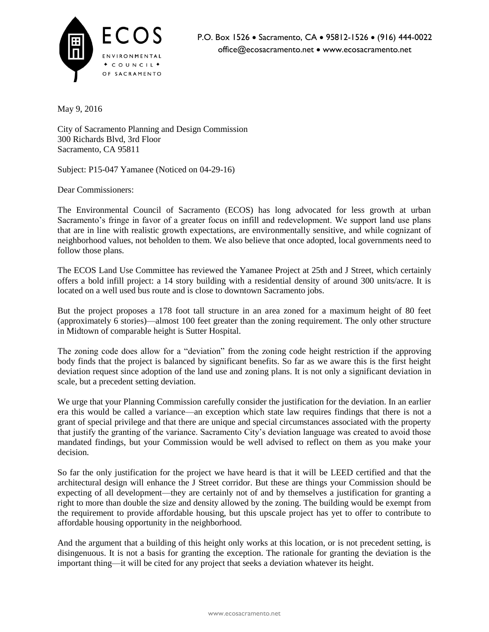

May 9, 2016

City of Sacramento Planning and Design Commission 300 Richards Blvd, 3rd Floor Sacramento, CA 95811

Subject: P15-047 Yamanee (Noticed on 04-29-16)

Dear Commissioners:

The Environmental Council of Sacramento (ECOS) has long advocated for less growth at urban Sacramento's fringe in favor of a greater focus on infill and redevelopment. We support land use plans that are in line with realistic growth expectations, are environmentally sensitive, and while cognizant of neighborhood values, not beholden to them. We also believe that once adopted, local governments need to follow those plans.

The ECOS Land Use Committee has reviewed the Yamanee Project at 25th and J Street, which certainly offers a bold infill project: a 14 story building with a residential density of around 300 units/acre. It is located on a well used bus route and is close to downtown Sacramento jobs.

But the project proposes a 178 foot tall structure in an area zoned for a maximum height of 80 feet (approximately 6 stories)—almost 100 feet greater than the zoning requirement. The only other structure in Midtown of comparable height is Sutter Hospital.

The zoning code does allow for a "deviation" from the zoning code height restriction if the approving body finds that the project is balanced by significant benefits. So far as we aware this is the first height deviation request since adoption of the land use and zoning plans. It is not only a significant deviation in scale, but a precedent setting deviation.

We urge that your Planning Commission carefully consider the justification for the deviation. In an earlier era this would be called a variance—an exception which state law requires findings that there is not a grant of special privilege and that there are unique and special circumstances associated with the property that justify the granting of the variance. Sacramento City's deviation language was created to avoid those mandated findings, but your Commission would be well advised to reflect on them as you make your decision.

So far the only justification for the project we have heard is that it will be LEED certified and that the architectural design will enhance the J Street corridor. But these are things your Commission should be expecting of all development—they are certainly not of and by themselves a justification for granting a right to more than double the size and density allowed by the zoning. The building would be exempt from the requirement to provide affordable housing, but this upscale project has yet to offer to contribute to affordable housing opportunity in the neighborhood.

And the argument that a building of this height only works at this location, or is not precedent setting, is disingenuous. It is not a basis for granting the exception. The rationale for granting the deviation is the important thing—it will be cited for any project that seeks a deviation whatever its height.